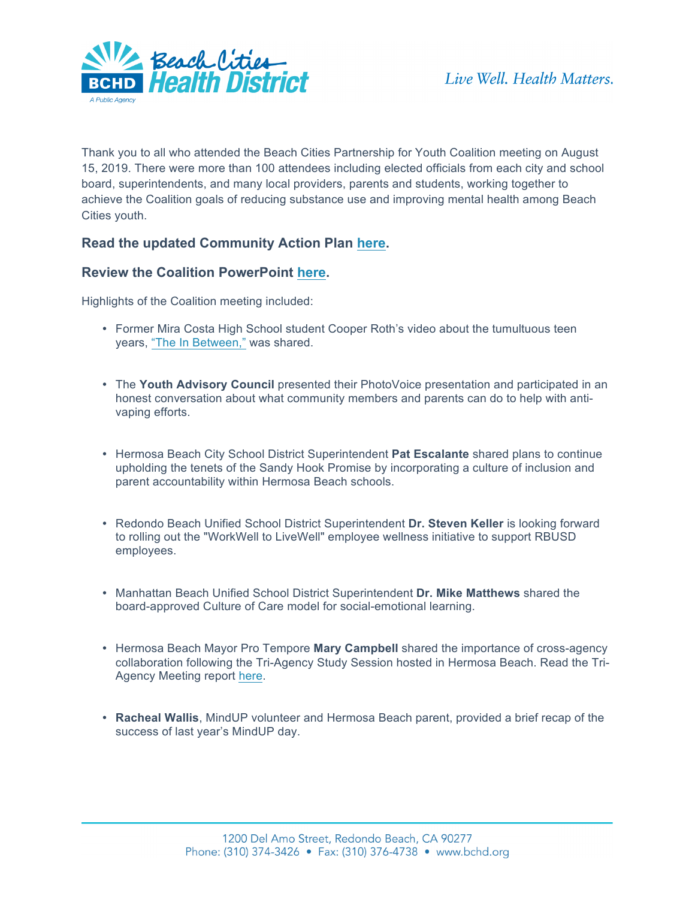

Thank you to all who attended the Beach Cities Partnership for Youth Coalition meeting on August 15, 2019. There were more than 100 attendees including elected officials from each city and school board, superintendents, and many local providers, parents and students, working together to achieve the Coalition goals of reducing substance use and improving mental health among Beach Cities youth.

## **Read the updated Community Action Plan [here.](http://www.bchdfiles.com/docs/ys/CommunityActionPlan_StudentWellBeing_v3_nobleed.pdf)**

## **Review the Coalition PowerPoint [here.](http://www.bchdfiles.com/docs/ys/YouthServices_CoalitionMeetingAgenda8_15_19_FINAL.pdf)**

Highlights of the Coalition meeting included:

- Former Mira Costa High School student Cooper Roth's video about the tumultuous teen years[, "The In Between,"](https://www.youtube.com/watch?v=fxYN4R5rFAY&t=109s) was shared.
- The **Youth Advisory Council** presented their PhotoVoice presentation and participated in an honest conversation about what community members and parents can do to help with antivaping efforts.
- Hermosa Beach City School District Superintendent **Pat Escalante** shared plans to continue upholding the tenets of the Sandy Hook Promise by incorporating a culture of inclusion and parent accountability within Hermosa Beach schools.
- Redondo Beach Unified School District Superintendent **Dr. Steven Keller** is looking forward to rolling out the "WorkWell to LiveWell" employee wellness initiative to support RBUSD employees.
- Manhattan Beach Unified School District Superintendent **Dr. Mike Matthews** shared the board-approved Culture of Care model for social-emotional learning.
- Hermosa Beach Mayor Pro Tempore **Mary Campbell** shared the importance of cross-agency collaboration following the Tri-Agency Study Session hosted in Hermosa Beach. Read the Tri-Agency Meeting repor[t here.](http://www.bchdfiles.com/docs/ys/HB%20TriAgency%20Session%20Final%20Report%20Summary_7.24.19.pdf)
- **Racheal Wallis**, MindUP volunteer and Hermosa Beach parent, provided a brief recap of the success of last year's MindUP day.